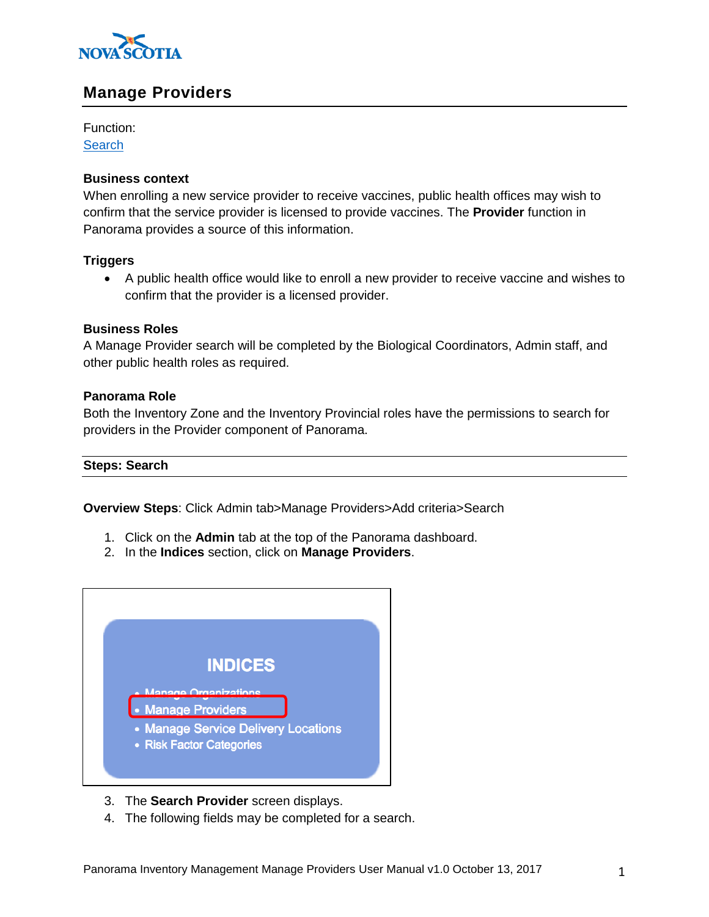

# **Manage Providers**

Function: **[Search](#page-0-0)** 

## **Business context**

When enrolling a new service provider to receive vaccines, public health offices may wish to confirm that the service provider is licensed to provide vaccines. The **Provider** function in Panorama provides a source of this information.

## **Triggers**

 A public health office would like to enroll a new provider to receive vaccine and wishes to confirm that the provider is a licensed provider.

## **Business Roles**

A Manage Provider search will be completed by the Biological Coordinators, Admin staff, and other public health roles as required.

## **Panorama Role**

Both the Inventory Zone and the Inventory Provincial roles have the permissions to search for providers in the Provider component of Panorama.

#### <span id="page-0-0"></span>**Steps: Search**

**Overview Steps**: Click Admin tab>Manage Providers>Add criteria>Search

- 1. Click on the **Admin** tab at the top of the Panorama dashboard.
- 2. In the **Indices** section, click on **Manage Providers**.



- 3. The **Search Provider** screen displays.
- 4. The following fields may be completed for a search.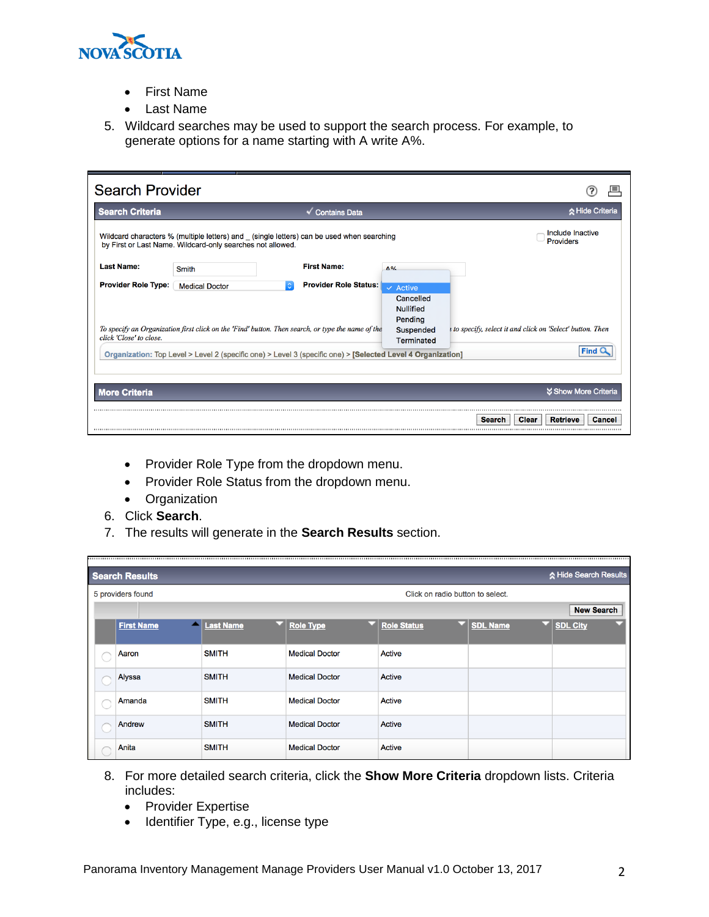

- First Name
- Last Name
- 5. Wildcard searches may be used to support the search process. For example, to generate options for a name starting with A write A%.

| <b>Search Provider</b>     |                                                            |                                                                                                             |                                                       |                                                          |
|----------------------------|------------------------------------------------------------|-------------------------------------------------------------------------------------------------------------|-------------------------------------------------------|----------------------------------------------------------|
| <b>Search Criteria</b>     |                                                            | <b>Contains Data</b>                                                                                        |                                                       | ☆ Hide Criteria                                          |
|                            | by First or Last Name. Wildcard-only searches not allowed. | Wildcard characters % (multiple letters) and _ (single letters) can be used when searching                  |                                                       | Include Inactive<br><b>Providers</b>                     |
| <b>Last Name:</b>          | Smith                                                      | <b>First Name:</b>                                                                                          | $\Lambda$ O/                                          |                                                          |
| <b>Provider Role Type:</b> | <b>Medical Doctor</b>                                      | <b>Provider Role Status:</b>                                                                                | $\checkmark$ Active                                   |                                                          |
|                            |                                                            | To specify an Organization first click on the 'Find' button. Then search, or type the name of the           | Cancelled<br><b>Nullified</b><br>Pending<br>Suspended | to specify, select it and click on 'Select' button. Then |
| click 'Close' to close.    |                                                            | Organization: Top Level > Level 2 (specific one) > Level 3 (specific one) > [Selected Level 4 Organization] | <b>Terminated</b>                                     | <b>Find</b>                                              |
|                            |                                                            |                                                                                                             |                                                       |                                                          |
| <b>More Criteria</b>       |                                                            |                                                                                                             |                                                       | <b><i>V</i></b> Show More Criteria                       |
|                            |                                                            |                                                                                                             |                                                       | Clear<br><b>Retrieve</b><br><b>Search</b><br>Cancel      |
|                            |                                                            |                                                                                                             |                                                       |                                                          |

- Provider Role Type from the dropdown menu.
- Provider Role Status from the dropdown menu.
- Organization
- 6. Click **Search**.
- 7. The results will generate in the **Search Results** section.

| ☆ Hide Search Results<br><b>Search Results</b> |                  |                       |                    |                                  |                   |  |  |  |  |
|------------------------------------------------|------------------|-----------------------|--------------------|----------------------------------|-------------------|--|--|--|--|
| 5 providers found                              |                  |                       |                    | Click on radio button to select. |                   |  |  |  |  |
|                                                |                  |                       |                    |                                  | <b>New Search</b> |  |  |  |  |
| <b>First Name</b>                              | <b>Last Name</b> | <b>Role Type</b>      | <b>Role Status</b> | <b>SDL Name</b>                  | <b>SDL City</b>   |  |  |  |  |
| Aaron                                          | <b>SMITH</b>     | <b>Medical Doctor</b> | Active             |                                  |                   |  |  |  |  |
| Alyssa                                         | <b>SMITH</b>     | <b>Medical Doctor</b> | Active             |                                  |                   |  |  |  |  |
| Amanda                                         | <b>SMITH</b>     | <b>Medical Doctor</b> | Active             |                                  |                   |  |  |  |  |
| Andrew                                         | <b>SMITH</b>     | <b>Medical Doctor</b> | Active             |                                  |                   |  |  |  |  |
| Anita                                          | <b>SMITH</b>     | <b>Medical Doctor</b> | Active             |                                  |                   |  |  |  |  |

- 8. For more detailed search criteria, click the **Show More Criteria** dropdown lists. Criteria includes:
	- Provider Expertise
	- Identifier Type, e.g., license type